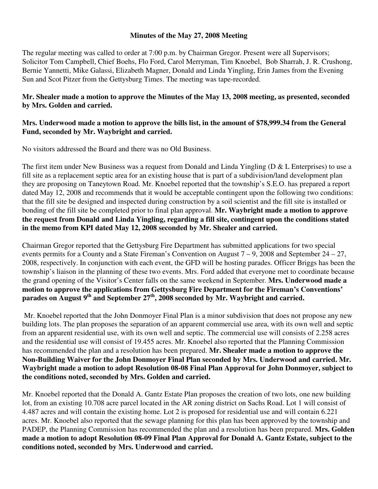## **Minutes of the May 27, 2008 Meeting**

The regular meeting was called to order at 7:00 p.m. by Chairman Gregor. Present were all Supervisors; Solicitor Tom Campbell, Chief Boehs, Flo Ford, Carol Merryman, Tim Knoebel, Bob Sharrah, J. R. Crushong, Bernie Yannetti, Mike Galassi, Elizabeth Magner, Donald and Linda Yingling, Erin James from the Evening Sun and Scot Pitzer from the Gettysburg Times. The meeting was tape-recorded.

## **Mr. Shealer made a motion to approve the Minutes of the May 13, 2008 meeting, as presented, seconded by Mrs. Golden and carried.**

## **Mrs. Underwood made a motion to approve the bills list, in the amount of \$78,999.34 from the General Fund, seconded by Mr. Waybright and carried.**

No visitors addressed the Board and there was no Old Business.

The first item under New Business was a request from Donald and Linda Yingling (D & L Enterprises) to use a fill site as a replacement septic area for an existing house that is part of a subdivision/land development plan they are proposing on Taneytown Road. Mr. Knoebel reported that the township's S.E.O. has prepared a report dated May 12, 2008 and recommends that it would be acceptable contingent upon the following two conditions: that the fill site be designed and inspected during construction by a soil scientist and the fill site is installed or bonding of the fill site be completed prior to final plan approval. **Mr. Waybright made a motion to approve the request from Donald and Linda Yingling, regarding a fill site, contingent upon the conditions stated in the memo from KPI dated May 12, 2008 seconded by Mr. Shealer and carried.** 

Chairman Gregor reported that the Gettysburg Fire Department has submitted applications for two special events permits for a County and a State Fireman's Convention on August  $7 - 9$ , 2008 and September  $24 - 27$ , 2008, respectively. In conjunction with each event, the GFD will be hosting parades. Officer Briggs has been the township's liaison in the planning of these two events. Mrs. Ford added that everyone met to coordinate because the grand opening of the Visitor's Center falls on the same weekend in September. **Mrs. Underwood made a motion to approve the applications from Gettysburg Fire Department for the Fireman's Conventions'**  parades on August 9<sup>th</sup> and September 27<sup>th</sup>, 2008 seconded by Mr. Waybright and carried.

 Mr. Knoebel reported that the John Donmoyer Final Plan is a minor subdivision that does not propose any new building lots. The plan proposes the separation of an apparent commercial use area, with its own well and septic from an apparent residential use, with its own well and septic. The commercial use will consists of 2.258 acres and the residential use will consist of 19.455 acres. Mr. Knoebel also reported that the Planning Commission has recommended the plan and a resolution has been prepared. **Mr. Shealer made a motion to approve the Non-Building Waiver for the John Donmoyer Final Plan seconded by Mrs. Underwood and carried. Mr. Waybright made a motion to adopt Resolution 08-08 Final Plan Approval for John Donmoyer, subject to the conditions noted, seconded by Mrs. Golden and carried.** 

Mr. Knoebel reported that the Donald A. Gantz Estate Plan proposes the creation of two lots, one new building lot, from an existing 10.708 acre parcel located in the AR zoning district on Sachs Road. Lot 1 will consist of 4.487 acres and will contain the existing home. Lot 2 is proposed for residential use and will contain 6.221 acres. Mr. Knoebel also reported that the sewage planning for this plan has been approved by the township and PADEP, the Planning Commission has recommended the plan and a resolution has been prepared. **Mrs. Golden made a motion to adopt Resolution 08-09 Final Plan Approval for Donald A. Gantz Estate, subject to the conditions noted, seconded by Mrs. Underwood and carried.**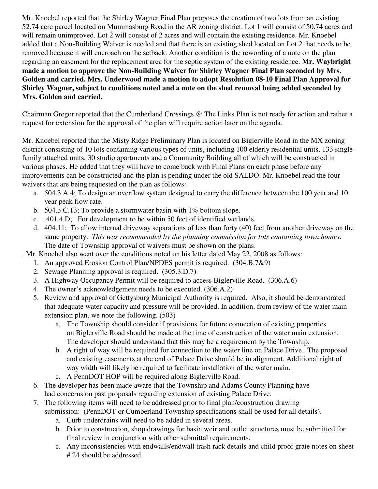Mr. Knoebel reported that the Shirley Wagner Final Plan proposes the creation of two lots from an existing 52.74 acre parcel located on Mummasburg Road in the AR zoning district. Lot 1 will consist of 50.74 acres and will remain unimproved. Lot 2 will consist of 2 acres and will contain the existing residence. Mr. Knoebel added that a Non-Building Waiver is needed and that there is an existing shed located on Lot 2 that needs to be removed because it will encroach on the setback. Another condition is the rewording of a note on the plan regarding an easement for the replacement area for the septic system of the existing residence. **Mr. Waybright made a motion to approve the Non-Building Waiver for Shirley Wagner Final Plan seconded by Mrs. Golden and carried. Mrs. Underwood made a motion to adopt Resolution 08-10 Final Plan Approval for Shirley Wagner, subject to conditions noted and a note on the shed removal being added seconded by Mrs. Golden and carried.** 

Chairman Gregor reported that the Cumberland Crossings @ The Links Plan is not ready for action and rather a request for extension for the approval of the plan will require action later on the agenda.

Mr. Knoebel reported that the Misty Ridge Preliminary Plan is located on Biglerville Road in the MX zoning district consisting of 10 lots containing various types of units, including 100 elderly residential units, 133 singlefamily attached units, 30 studio apartments and a Community Building all of which will be constructed in various phases. He added that they will have to come back with Final Plans on each phase before any improvements can be constructed and the plan is pending under the old SALDO. Mr. Knoebel read the four waivers that are being requested on the plan as follows:

- a. 504.3.A.4; To design an overflow system designed to carry the difference between the 100 year and 10 year peak flow rate.
- b. 504.3.C.13; To provide a stormwater basin with 1% bottom slope.
- c. 401.4.D; For development to be within 50 feet of identified wetlands.
- d. 404.11; To allow internal driveway separations of less than forty (40) feet from another driveway on the same property. *This was recommended by the planning commission for lots containing town homes*. The date of Township approval of waivers must be shown on the plans.

. Mr. Knoebel also went over the conditions noted on his letter dated May 22, 2008 as follows:

- 1. An approved Erosion Control Plan/NPDES permit is required. (304.B.7&9)
- 2. Sewage Planning approval is required. (305.3.D.7)
- 3. A Highway Occupancy Permit will be required to access Biglerville Road. (306.A.6)
- 4. The owner's acknowledgement needs to be executed. (306.A.2)
- 5. Review and approval of Gettysburg Municipal Authority is required. Also, it should be demonstrated that adequate water capacity and pressure will be provided. In addition, from review of the water main extension plan, we note the following. (503)
	- a. The Township should consider if provisions for future connection of existing properties on Biglerville Road should be made at the time of construction of the water main extension. The developer should understand that this may be a requirement by the Township.
	- b. A right of way will be required for connection to the water line on Palace Drive. The proposed and existing easements at the end of Palace Drive should be in alignment. Additional right of way width will likely be required to facilitate installation of the water main.
	- c. A PennDOT HOP will be required along Biglerville Road.
- 6. The developer has been made aware that the Township and Adams County Planning have had concerns on past proposals regarding extension of existing Palace Drive.
- 7. The following items will need to be addressed prior to final plan/construction drawing submission: (PennDOT or Cumberland Township specifications shall be used for all details).
	- a. Curb underdrains will need to be added in several areas.
	- b. Prior to construction, shop drawings for basin weir and outlet structures must be submitted for final review in conjunction with other submittal requirements.
	- c. Any inconsistencies with endwalls/endwall trash rack details and child proof grate notes on sheet # 24 should be addressed.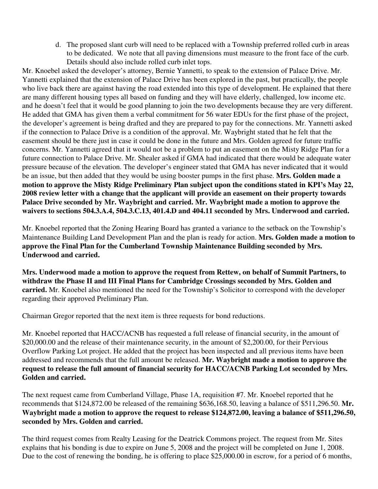d. The proposed slant curb will need to be replaced with a Township preferred rolled curb in areas to be dedicated. We note that all paving dimensions must measure to the front face of the curb. Details should also include rolled curb inlet tops.

Mr. Knoebel asked the developer's attorney, Bernie Yannetti, to speak to the extension of Palace Drive. Mr. Yannetti explained that the extension of Palace Drive has been explored in the past, but practically, the people who live back there are against having the road extended into this type of development. He explained that there are many different housing types all based on funding and they will have elderly, challenged, low income etc. and he doesn't feel that it would be good planning to join the two developments because they are very different. He added that GMA has given them a verbal commitment for 56 water EDUs for the first phase of the project, the developer's agreement is being drafted and they are prepared to pay for the connections. Mr. Yannetti asked if the connection to Palace Drive is a condition of the approval. Mr. Waybright stated that he felt that the easement should be there just in case it could be done in the future and Mrs. Golden agreed for future traffic concerns. Mr. Yannetti agreed that it would not be a problem to put an easement on the Misty Ridge Plan for a future connection to Palace Drive. Mr. Shealer asked if GMA had indicated that there would be adequate water pressure because of the elevation. The developer's engineer stated that GMA has never indicated that it would be an issue, but then added that they would be using booster pumps in the first phase. **Mrs. Golden made a motion to approve the Misty Ridge Preliminary Plan subject upon the conditions stated in KPI's May 22, 2008 review letter with a change that the applicant will provide an easement on their property towards Palace Drive seconded by Mr. Waybright and carried. Mr. Waybright made a motion to approve the waivers to sections 504.3.A.4, 504.3.C.13, 401.4.D and 404.11 seconded by Mrs. Underwood and carried.** 

Mr. Knoebel reported that the Zoning Hearing Board has granted a variance to the setback on the Township's Maintenance Building Land Development Plan and the plan is ready for action. **Mrs. Golden made a motion to approve the Final Plan for the Cumberland Township Maintenance Building seconded by Mrs. Underwood and carried.** 

**Mrs. Underwood made a motion to approve the request from Rettew, on behalf of Summit Partners, to withdraw the Phase II and III Final Plans for Cambridge Crossings seconded by Mrs. Golden and carried.** Mr. Knoebel also mentioned the need for the Township's Solicitor to correspond with the developer regarding their approved Preliminary Plan.

Chairman Gregor reported that the next item is three requests for bond reductions.

Mr. Knoebel reported that HACC/ACNB has requested a full release of financial security, in the amount of \$20,000.00 and the release of their maintenance security, in the amount of \$2,200.00, for their Pervious Overflow Parking Lot project. He added that the project has been inspected and all previous items have been addressed and recommends that the full amount be released. **Mr. Waybright made a motion to approve the request to release the full amount of financial security for HACC/ACNB Parking Lot seconded by Mrs. Golden and carried.** 

The next request came from Cumberland Village, Phase 1A, requisition #7. Mr. Knoebel reported that he recommends that \$124,872.00 be released of the remaining \$636,168.50, leaving a balance of \$511,296.50. **Mr. Waybright made a motion to approve the request to release \$124,872.00, leaving a balance of \$511,296.50, seconded by Mrs. Golden and carried.** 

The third request comes from Realty Leasing for the Deatrick Commons project. The request from Mr. Sites explains that his bonding is due to expire on June 5, 2008 and the project will be completed on June 1, 2008. Due to the cost of renewing the bonding, he is offering to place \$25,000.00 in escrow, for a period of 6 months,